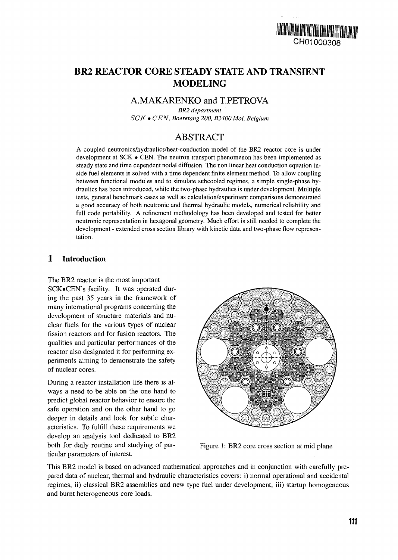

# BR2 REACTOR CORE STEADY STATE AND TRANSIENT MODELING

### A.MAKARENKO and T.PETROVA

*BR2 department SCK* • *CEN, Boeretang 200, B2400Mol, Belgium*

## ABSTRACT

A coupled neutronics/hydraulics/heat-conduction model of the BR2 reactor core is under development at SCK • CEN. The neutron transport phenomenon has been implemented as steady state and time dependent nodal diffusion. The non linear heat conduction equation inside fuel elements is solved with a time dependent finite element method. To allow coupling between functional modules and to simulate subcooled regimes, a simple single-phase hydraulics has been introduced, while the two-phase hydraulics is under development. Multiple tests, general benchmark cases as well as calculation/experiment comparisons demonstrated a good accuracy of both neutronic and thermal hydraulic models, numerical reliability and full code portability. A refinement methodology has been developed and tested for better neutronic representation in hexagonal geometry. Much effort is still needed to complete the development - extended cross section library with kinetic data and two-phase flow representation.

### 1 Introduction

The BR2 reactor is the most important

SCK»CEN's facility. It was operated during the past 35 years in the framework of many international programs concerning the development of structure materials and nuclear fuels for the various types of nuclear fission reactors and for fusion reactors. The qualities and particular performances of the reactor also designated it for performing experiments aiming to demonstrate the safety of nuclear cores.

During a reactor installation life there is always a need to be able on the one hand to predict global reactor behavior to ensure the safe operation and on the other hand to go deeper in details and look for subtle characteristics. To fulfill these requirements we develop an analysis tool dedicated to BR2 both for daily routine and studying of particular parameters of interest.



Figure 1: BR2 core cross section at mid plane

This BR2 model is based on advanced mathematical approaches and in conjunction with carefully prepared data of nuclear, thermal and hydraulic characteristics covers: i) normal operational and accidental regimes, ii) classical BR2 assemblies and new type fuel under development, iii) startup homogeneous and burnt heterogeneous core loads.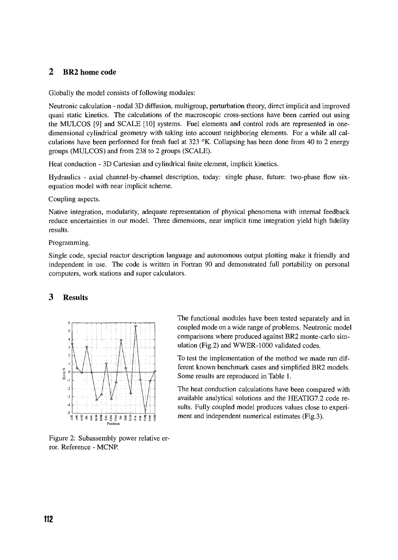### 2 BR2 home code

Globally the model consists of following modules:

Neutronic calculation - nodal 3D diffusion, multigroup, perturbation theory, direct implicit and improved quasi static kinetics. The calculations of the macroscopic cross-sections have been carried out using the MULCOS [9] and SCALE [10] systems. Fuel elements and control rods are represented in onedimensional cylindrical geometry with taking into account neighboring elements. For a while all calculations have been performed for fresh fuel at 323  $\,^{\circ}$ K. Collapsing has been done from 40 to 2 energy groups (MULCOS) and from 238 to 2 groups (SCALE).

Heat conduction - 3D Cartesian and cylindrical finite element, implicit kinetics.

Hydraulics - axial channel-by-channel description, today: single phase, future: two-phase flow sixequation model with near implicit scheme.

Coupling aspects.

Native integration, modularity, adequate representation of physical phenomena with internal feedback reduce uncertainties in our model. Three dimensions, near implicit time integration yield high fidelity results.

Programming.

Single code, special reactor description language and autonomous output plotting make it friendly and independent in use. The code is written in Fortran 90 and demonstrated full portability on personal computers, work stations and super calculators.

#### 3 Results



Figure 2: Subassembly power relative error. Reference - MCNP.

The functional modules have been tested separately and in coupled mode on a wide range of problems. Neutronic model comparisons where produced against BR2 monte-carlo simulation (Fig.2) and WWER-1000 validated codes.

To test the implementation of the method we made run different known benchmark cases and simplified BR2 models. Some results are reproduced in Table 1.

The heat conduction calculations have been compared with available analytical solutions and the HEATIG7.2 code results. Fully coupled model produces values close to experiment and independent numerical estimates (Fig.3).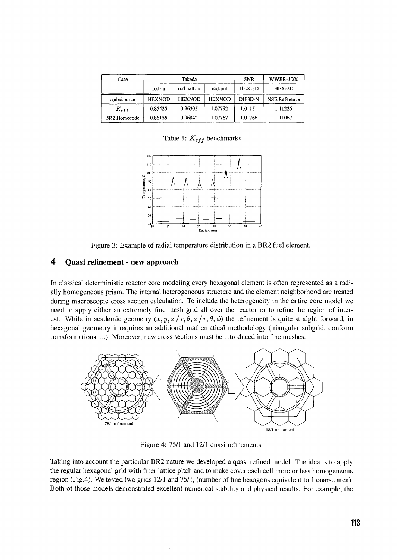| Case                     |               | Takeda        |               | <b>SNR</b> | <b>WWER-1000</b>     |
|--------------------------|---------------|---------------|---------------|------------|----------------------|
|                          | rod-in        | rod half-in   | rod-out       | $HEX-3D$   | $HEX-2D$             |
| code/source              | <b>HEXNOD</b> | <b>HEXNOD</b> | <b>HEXNOD</b> | DIF3D-N    | <b>NSE Reference</b> |
| $K_{eff}$                | 0.85425       | 0.96305       | 1.07792       | 1.01151    | 1.11226              |
| BR <sub>2</sub> Homecode | 0.86155       | 0.96842       | 1.07767       | 1.01766    | 1.11067              |

Table 1: *Kejf* benchmarks



Figure 3: Example of radial temperature distribution in a BR2 fuel element.

### **4 Quasi refinement - new approach**

In classical deterministic reactor core modeling every hexagonal element is often represented as a radially homogeneous prism. The internal heterogeneous structure and the element neighborhood are treated during macroscopic cross section calculation. To include the heterogeneity in the entire core model we need to apply either an extremely fine mesh grid all over the reactor or to refine the region of interest. While in academic geometry  $(x, y, z / r, \theta, z / r, \theta, \phi)$  the refinement is quite straight forward, in hexagonal geometry it requires an additional mathematical methodology (triangular subgrid, conform transformations, ...). Moreover, new cross sections must be introduced into fine meshes.



Figure 4: 75/1 and 12/1 quasi refinements.

Taking into account the particular BR2 nature we developed a quasi refined model. The idea is to apply the regular hexagonal grid with finer lattice pitch and to make cover each cell more or less homogeneous region (Fig.4). We tested two grids 12/1 and 75/1, (number of fine hexagons equivalent to 1 coarse area). Both of those models demonstrated excellent numerical stability and physical results. For example, the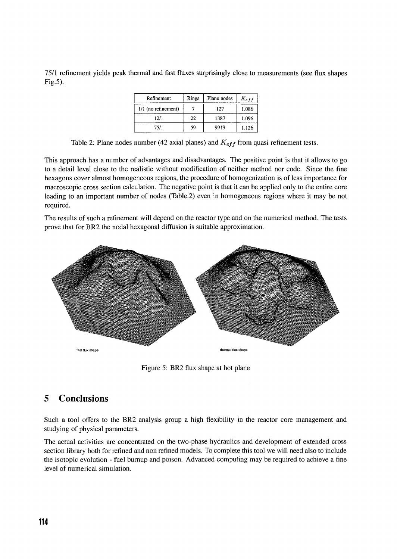75/1 refinement yields peak thermal and fast fluxes surprisingly close to measurements (see flux shapes Fig.5).

| Refinement            | Rings | Plane nodes | $K_{eff}$ |
|-----------------------|-------|-------------|-----------|
| $1/1$ (no refinement) |       | 127         | 1.086     |
| 12/1                  | 22    | 1387        | 1.096     |
| 75/1                  | 59    | 9919        | 1.126     |

Table 2: Plane nodes number (42 axial planes) and *Keff* from quasi refinement tests.

This approach has a number of advantages and disadvantages. The positive point is that it allows to go to a detail level close to the realistic without modification of neither method nor code. Since the fine hexagons cover almost homogeneous regions, the procedure of homogenization is of less importance for macroscopic cross section calculation. The negative point is that it can be applied only to the entire core leading to an important number of nodes (Table.2) even in homogeneous regions where it may be not required.

The results of such a refinement will depend on the reactor type and on the numerical method. The tests prove that for BR2 the nodal hexagonal diffusion is suitable approximation.



Figure 5: BR2 flux shape at hot plane

## 5 Conclusions

Such a tool offers to the BR2 analysis group a high flexibility in the reactor core management and studying of physical parameters.

The actual activities are concentrated on the two-phase hydraulics and development of extended cross section library both for refined and non refined models. To complete this tool we will need also to include the isotopic evolution - fuel burnup and poison. Advanced computing may be required to achieve a fine level of numerical simulation.